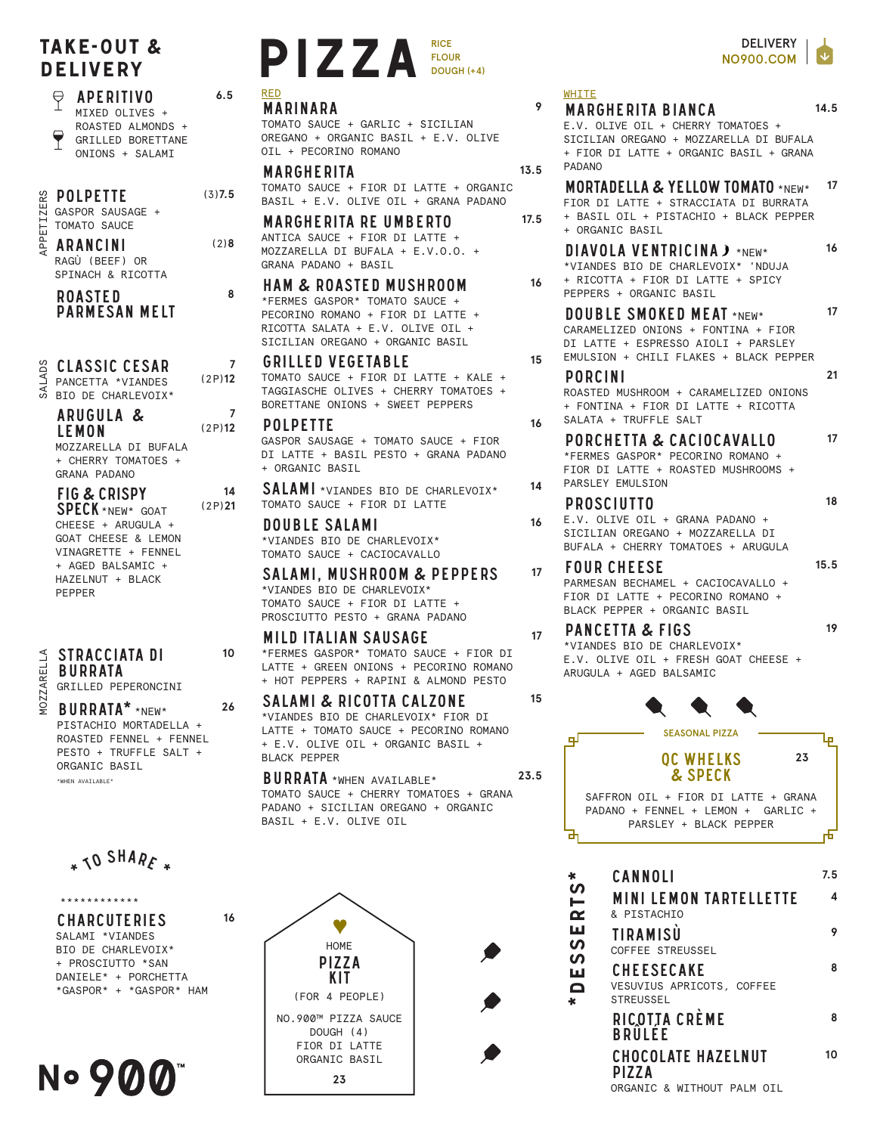## TAKE-OUT &

aperitivo MIXED OLIVES + ROASTED ALMONDS + GRILLED BORETTANE

ONIONS + SALAMI

## POLPETTE

숭

GASPOR SAUSAGE + TOMATO SAUCE APPETIZERS

ArancinI RAGÙ (BEEF) OR SPINACH & RICOTTA

ROASTED parmesan MELT

CLASSIC CEsar SALADS

PANCETTA \*VIANDES BIO DE CHARLEVOIX\*

ARUGULA & LEMON

MOZZARELLA DI BUFALA + CHERRY TOMATOES + GRANA PADANO

FIG & CRISPY SPECK \*NEW\* GOAT CHEESE + ARUGULA + GOAT CHEESE & LEMON VINAGRETTE + FENNEL + AGED BALSAMIC + HAZELNUT + BLACK PEPPER

**MOZZARELLA** MOZZARELLA

STRACCIATA DI BURRATA GRILLED PEPERONCINI

BURRATA\* \*NEW\* PISTACHIO MORTADELLA + ROASTED FENNEL + FENNEL PESTO + TRUFFLE SALT + ORGANIC BASIL \*WHEN AVATIABLE\* **26**

\* JO SHARE \*

\*\*\*\*\*\*\*\*\*\*\*\*

**CHARCUTERIES** SALAMI \*VIANDES BIO DE CHARLEVOIX\* + PROSCIUTTO \*SAN DANIELE\* + PORCHETTA \*GASPOR\* + \*GASPOR\* HAM **16**



## TAKE-OUT &<br>DELIVERY PIZZA FLOU<br>
P APERITIVO 6.5 RED FLOUR DOUGH (+4) RED

## Marinara

(3)**7.5**

**6.5**

(2)**8**

**8**

**7** (2P)**12**

**7** (2P)**12**

**14** (2P)**21**

**10**

TOMATO SAUCE + GARLIC + SICILIAN OREGANO + ORGANIC BASIL + E.V. OLIVE OIL + PECORINO ROMANO

**MARGHERITA** TOMATO SAUCE + FIOR DI LATTE + ORGANIC BASIL + E.V. OLIVE OIL + GRANA PADANO

Margherita RE UMBERTO ANTICA SAUCE + FIOR DI LATTE + MOZZARELLA DI BUFALA + E.V.O.O. + GRANA PADANO + BASIL

Ham & roasted mushroom \*FERMES GASPOR\* TOMATO SAUCE + PECORINO ROMANO + FIOR DI LATTE + RICOTTA SALATA + E.V. OLIVE OIL + STCTLTAN OREGANO + ORGANIC BASIL

Grilled vegetable TOMATO SAUCE + FIOR DI LATTE + KALE + TAGGIASCHE OLIVES + CHERRY TOMATOES + BORETTANE ONIONS + SWEET PEPPERS

polpette GASPOR SAUSAGE + TOMATO SAUCE + FIOR DI LATTE + BASIL PESTO + GRANA PADANO + ORGANIC BASIL

SALAMI \*VIANDES BIO DE CHARLEVOIX\* TOMATO SAUCE + FIOR DI LATTE

DOUBLE Salami \*VIANDES BIO DE CHARLEVOIX\* TOMATO SAUCE + CACIOCAVALLO

SALAMi, mushroom & pepperS \*VIANDES BIO DE CHARLEVOIX\* TOMATO SAUCE + FIOR DI LATTE + PROSCIUTTO PESTO + GRANA PADANO

Mild italian sausage \*FERMES GASPOR\* TOMATO SAUCE + FIOR DI LATTE + GREEN ONIONS + PECORINO ROMANO + HOT PEPPERS + RAPINI & ALMOND PESTO

Salami & ricotta Calzone \*VIANDES BIO DE CHARLEVOIX\* FIOR DI LATTE + TOMATO SAUCE + PECORINO ROMANO + E.V. OLIVE OIL + ORGANIC BASIL + BLACK PEPPER

BURRATA \*WHEN AVAILABLE\* TOMATO SAUCE + CHERRY TOMATOES + GRANA PADANO + SICILIAN OREGANO + ORGANIC BASIL + E.V. OLIVE OIL **23.5**



WHITE

**9**

**13.5**

**17.5**

**16**

**15**

**16**

**14**

**16**

**17**

**17**

**15**

Margherita bianca E.V. OLIVE OIL + CHERRY TOMATOES + SICILIAN OREGANO + MOZZARELLA DI BUFALA + FIOR DI LATTE + ORGANIC BASIL + GRANA PADANO **14.5** MORTADELLA & YELLOW TOMATO \*NEW\* FIOR DI LATTE + STRACCIATA DI BURRATA + BASIL OIL + PISTACHIO + BLACK PEPPER + ORGANIC BASIL **17** DIAVOLA VENTRICINA  $\lambda$  \*NEW\* \*VIANDES BIO DE CHARLEVOIX\* 'NDUJA + RICOTTA + FIOR DI LATTE + SPICY PEPPERS + ORGANIC BASIL **16** DOUBLE SMOKED MEAT \*NEW\* CARAMELIZED ONIONS + FONTINA + FIOR DI LATTE + ESPRESSO AIOLI + PARSLEY EMULSION + CHILI FLAKES + BLACK PEPPER **17** Porcini ROASTED MUSHROOM + CARAMELIZED ONIONS + FONTINA + FIOR DI LATTE + RICOTTA SALATA + TRUFFLE SALT **21** Porchetta & caciocavallo \*FERMES GASPOR\* PECORINO ROMANO + FIOR DI LATTE + ROASTED MUSHROOMS + PARSLEY EMULSION **17** Prosciutto E.V. OLIVE OIL + GRANA PADANO + SICILIAN OREGANO + MOZZARELLA DI BUFALA + CHERRY TOMATOES + ARUGULA **18** four cheese PARMESAN BECHAMEL + CACIOCAVALLO + FIOR DI LATTE + PECORINO ROMANO + BLACK PEPPER + ORGANIC BASIL **15.5** Pancetta & figs \*VIANDES BIO DE CHARLEVOIX\* E.V. OLIVE OIL + FRESH GOAT CHEESE + ARUGULA + AGED BALSAMIC **19**



| ×                                                                | CANNOLI                                                     | 7.5 |
|------------------------------------------------------------------|-------------------------------------------------------------|-----|
| <b>S1</b><br>$\boldsymbol{\alpha}$<br>ш<br>ທ<br>ທ<br>ш<br>Ω<br>k | <b>MINI LEMON TARTELLETTE</b><br>& PISTACHIO                | 4   |
|                                                                  | <b>TIRAMISU</b><br>COFFEE STREUSSEL                         |     |
|                                                                  | CHEESECAKE<br>VESUVIUS APRICOTS, COFFEE<br><b>STREUSSEL</b> | 8   |
|                                                                  | RICOTTA CRÈME<br>BRÜLÉE                                     | 8   |
|                                                                  | <b>CHOCOLATE HAZELNUT</b><br>PIZZA                          | 10  |
|                                                                  | ORGANIC & WITHOUT PALM OIL                                  |     |